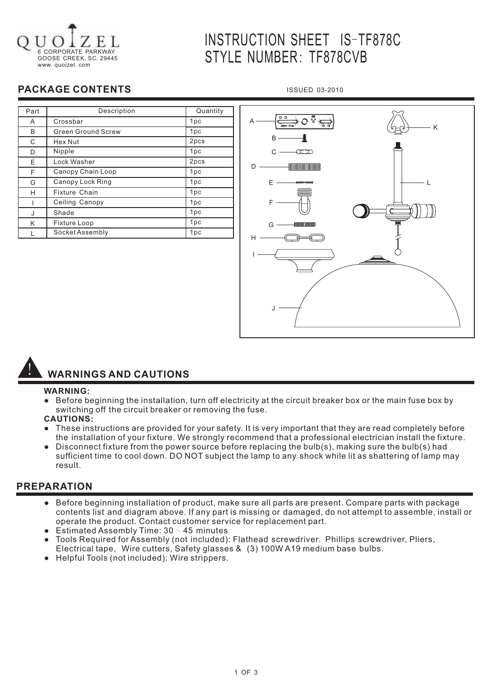

# INSTRUCTION SHEET IS-TF878C STYLE NUMBER: TF878CVB

ISSUED 03-2010

### **PACKAGE CONTENTS**

| Part | Description               | Quantity        |
|------|---------------------------|-----------------|
| A    | Crossbar                  | 1pc             |
| B    | <b>Green Ground Screw</b> | 1pc             |
| C    | Hex Nut                   | 2pcs            |
| D    | Nipple                    | 1pc             |
| E.   | Lock Washer               | 2pcs            |
| F    | Canopy Chain Loop         | 1pc             |
| G    | Canopy Lock Ring          | 1 <sub>pc</sub> |
| H    | <b>Fixture Chain</b>      | 1pc             |
|      | Ceiling Canopy            | 1pc             |
| J    | Shade                     | 1pc             |
| K    | Fixture Loop              | 1pc             |
|      | Socket Assembly           | 1pc             |

⊦೦ ∘ಁ A K B -8  $\sim$  $\overline{\mathcal{L}}$ D **CONTINUINTING CONTINUES**  $F -$ LF G H I J

## ! **WARNINGS AND CAUTIONS**

#### **WARNING:**

- Before beginning the installation, turn off electricity at the circuit breaker box or the main fuse box by switching off the circuit breaker or removing the fuse.
- **CAUTIONS:**
- These instructions are provided for your safety. It is very important that they are read completely before the installation of your fixture. We strongly recommend that a professional electrician install the fixture.
- Disconnect fixture from the power source before replacing the bulb(s), making sure the bulb(s) had sufficient time to cool down. DO NOT subject the lamp to any shock while lit as shattering of lamp may result.

#### **PREPARATION**

- Before beginning installation of product, make sure all parts are present. Compare parts with package contents list and diagram above. If any part is missing or damaged, do not attempt to assemble, install or operate the product. Contact customer service for replacement part.
- Estimated Assembly Time: 30 45 minutes
- Tools Required for Assembly (not included): Flathead screwdriver, Phillips screwdriver, Pliers, Electrical tape, Wire cutters, Safety glasses & (3) 100W A19 medium base bulbs.
- **Helpful Tools (not included): Wire strippers.**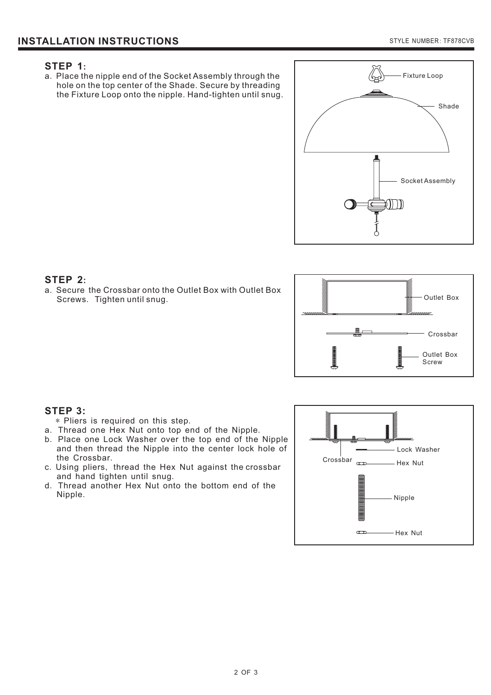#### **STEP 1:**

a. Place the nipple end of the Socket Assembly through the hole on the top center of the Shade. Secure by threading the Fixture Loop onto the nipple. Hand-tighten until snug.



#### **STEP 2:**

a. Secure the Crossbar onto the Outlet Box with Outlet Box Screws. Tighten until snug.



#### **STEP 3:**

- \* Pliers is required on this step.
- a. Thread one Hex Nut onto top end of the Nipple.
- b. Place one Lock Washer over the top end of the Nipple and then thread the Nipple into the center lock hole of the Crossbar .
- c. Using pliers, thread the Hex Nut against the crossbar and hand tighten until snug .
- d. Thread another Hex Nut onto the bottom end of the Nipple .